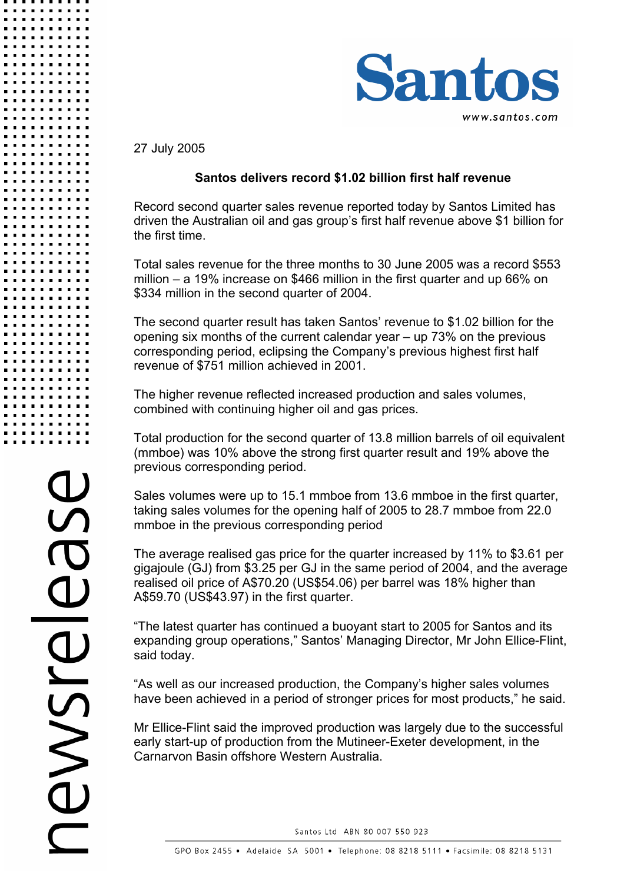

27 July 2005

# **Santos delivers record \$1.02 billion first half revenue**

Record second quarter sales revenue reported today by Santos Limited has driven the Australian oil and gas group's first half revenue above \$1 billion for the first time.

Total sales revenue for the three months to 30 June 2005 was a record \$553 million – a 19% increase on \$466 million in the first quarter and up 66% on \$334 million in the second quarter of 2004.

The second quarter result has taken Santos' revenue to \$1.02 billion for the opening six months of the current calendar year – up 73% on the previous corresponding period, eclipsing the Company's previous highest first half revenue of \$751 million achieved in 2001.

The higher revenue reflected increased production and sales volumes, combined with continuing higher oil and gas prices.

Total production for the second quarter of 13.8 million barrels of oil equivalent (mmboe) was 10% above the strong first quarter result and 19% above the previous corresponding period.

Sales volumes were up to 15.1 mmboe from 13.6 mmboe in the first quarter, taking sales volumes for the opening half of 2005 to 28.7 mmboe from 22.0 mmboe in the previous corresponding period

The average realised gas price for the quarter increased by 11% to \$3.61 per gigajoule (GJ) from \$3.25 per GJ in the same period of 2004, and the average realised oil price of A\$70.20 (US\$54.06) per barrel was 18% higher than A\$59.70 (US\$43.97) in the first quarter.

"The latest quarter has continued a buoyant start to 2005 for Santos and its expanding group operations," Santos' Managing Director, Mr John Ellice-Flint, said today.

"As well as our increased production, the Company's higher sales volumes have been achieved in a period of stronger prices for most products," he said.

Mr Ellice-Flint said the improved production was largely due to the successful early start-up of production from the Mutineer-Exeter development, in the Carnarvon Basin offshore Western Australia.

Santos Ltd ABN 80 007 550 923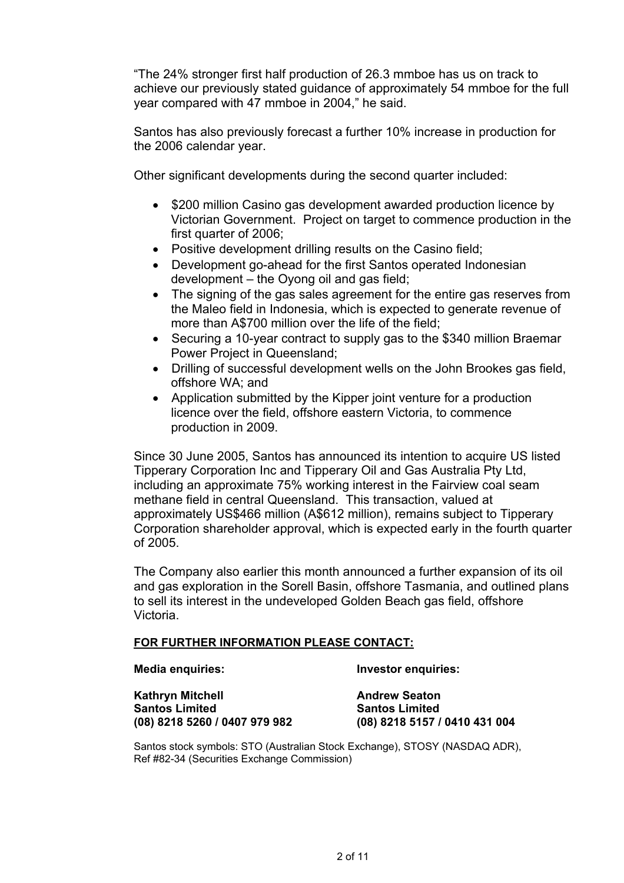"The 24% stronger first half production of 26.3 mmboe has us on track to achieve our previously stated guidance of approximately 54 mmboe for the full year compared with 47 mmboe in 2004," he said.

Santos has also previously forecast a further 10% increase in production for the 2006 calendar year.

Other significant developments during the second quarter included:

- \$200 million Casino gas development awarded production licence by Victorian Government. Project on target to commence production in the first quarter of 2006;
- Positive development drilling results on the Casino field;
- Development go-ahead for the first Santos operated Indonesian development – the Oyong oil and gas field;
- The signing of the gas sales agreement for the entire gas reserves from the Maleo field in Indonesia, which is expected to generate revenue of more than A\$700 million over the life of the field;
- Securing a 10-year contract to supply gas to the \$340 million Braemar Power Project in Queensland;
- Drilling of successful development wells on the John Brookes gas field, offshore WA; and
- Application submitted by the Kipper joint venture for a production licence over the field, offshore eastern Victoria, to commence production in 2009.

Since 30 June 2005, Santos has announced its intention to acquire US listed Tipperary Corporation Inc and Tipperary Oil and Gas Australia Pty Ltd, including an approximate 75% working interest in the Fairview coal seam methane field in central Queensland. This transaction, valued at approximately US\$466 million (A\$612 million), remains subject to Tipperary Corporation shareholder approval, which is expected early in the fourth quarter of 2005.

The Company also earlier this month announced a further expansion of its oil and gas exploration in the Sorell Basin, offshore Tasmania, and outlined plans to sell its interest in the undeveloped Golden Beach gas field, offshore Victoria.

#### **FOR FURTHER INFORMATION PLEASE CONTACT:**

**Media enquiries: Investor enquiries:** 

**Kathryn Mitchell <b>Andrew Seaton Andrew Seaton Santos Limited Santos Limited (08) 8218 5260 / 0407 979 982 (08) 8218 5157 / 0410 431 004** 

Santos stock symbols: STO (Australian Stock Exchange), STOSY (NASDAQ ADR), Ref #82-34 (Securities Exchange Commission)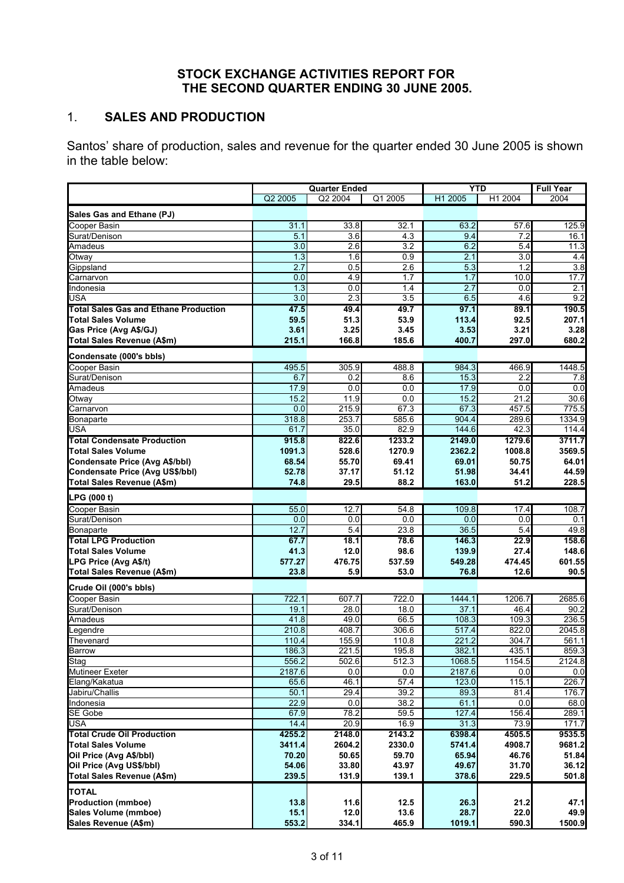## **STOCK EXCHANGE ACTIVITIES REPORT FOR THE SECOND QUARTER ENDING 30 JUNE 2005.**

# 1. **SALES AND PRODUCTION**

Santos' share of production, sales and revenue for the quarter ended 30 June 2005 is shown in the table below:

|                                              | <b>Quarter Ended</b> |                     |                  | <b>YTD</b> |                  | <b>Full Year</b> |
|----------------------------------------------|----------------------|---------------------|------------------|------------|------------------|------------------|
|                                              | Q2 2005              | Q <sub>2</sub> 2004 | Q1 2005          | H1 2005    | H1 2004          | 2004             |
| Sales Gas and Ethane (PJ)                    |                      |                     |                  |            |                  |                  |
| Cooper Basin                                 | 31.1                 | 33.8                | 32.1             | 63.2       | 57.6             | 125.9            |
| Surat/Denison                                | $\overline{5.1}$     | 3.6                 | 4.3              | 9.4        | 7.2              | 16.1             |
| Amadeus                                      | 3.0                  | 2.6                 | 3.2              | 6.2        | 5.4              | 11.3             |
| Otway                                        | 1.3                  | 1.6                 | 0.9              | 2.1        | 3.0              | 4.4              |
| Gippsland                                    | 2.7                  | 0.5                 | $\overline{2.6}$ | 5.3        | 1.2              | 3.8              |
| Carnarvon                                    | 0.0                  | 4.9                 | 1.7              | 1.7        | 10.0             | 17.7             |
| Indonesia                                    | 1.3                  | 0.0                 | 1.4              | 2.7        | 0.0              | 2.1              |
| <b>USA</b>                                   | 3.0                  | 2.3                 | 3.5              | 6.5        | 4.6              | 9.2              |
| <b>Total Sales Gas and Ethane Production</b> | 47.5                 | 49.4                | 49.7             | 97.1       | 89.1             | 190.5            |
| <b>Total Sales Volume</b>                    | 59.5                 | 51.3                | 53.9             | 113.4      | 92.5             | 207.1            |
| Gas Price (Avg A\$/GJ)                       | 3.61                 | 3.25                | 3.45             | 3.53       | 3.21             | 3.28             |
| Total Sales Revenue (A\$m)                   | 215.1                | 166.8               | 185.6            | 400.7      | 297.0            | 680.2            |
| Condensate (000's bbls)                      |                      |                     |                  |            |                  |                  |
| Cooper Basin                                 | 495.5                | 305.9               | 488.8            | 984.3      | 466.9            | 1448.5           |
| Surat/Denison                                | 6.7                  | 0.2                 | 8.6              | 15.3       | 2.2              | 7.8              |
| Amadeus                                      | 17.9                 | 0.0                 | 0.0              | 17.9       | 0.0              | 0.0              |
| Otway                                        | 15.2                 | 11.9                | 0.0              | 15.2       | 21.2             | 30.6             |
| Carnarvon                                    | 0.0                  | 215.9               | 673              | 67.3       | 457.5            | 775.5            |
| Bonaparte                                    | 318.8                | 253.7               | 585.6            | 904.4      | 289.6            | 1334.9           |
| <b>USA</b>                                   | 61.7                 | 35.0                | 82.9             | 144.6      | 42.3             | 114.4            |
| <b>Total Condensate Production</b>           | 915.8                | 822.6               | 1233.2           | 2149.0     | 1279.6           | 3711.7           |
| <b>Total Sales Volume</b>                    | 1091.3               | 528.6               | 1270.9           | 2362.2     | 1008.8           | 3569.5           |
| Condensate Price (Avg A\$/bbl)               | 68.54                | 55.70               | 69.41            | 69.01      | 50.75            | 64.01            |
| Condensate Price (Avg US\$/bbl)              | 52.78                | 37.17               | 51.12            | 51.98      | 34.41            | 44.59            |
| Total Sales Revenue (A\$m)                   | 74.8                 | 29.5                | 88.2             | 163.0      | 51.2             | 228.5            |
| LPG (000 t)                                  |                      |                     |                  |            |                  |                  |
| <b>Cooper Basin</b>                          | 55.0                 | 12.7                | 54.8             | 109.8      | 17.4             | 108.7            |
| Surat/Denison                                | 0.0                  | 0.0                 | 0.0              | 0.0        | 0.0              | 0.1              |
| Bonaparte                                    | 12.7                 | $\overline{5.4}$    | 23.8             | 36.5       | $\overline{5.4}$ | 49.8             |
| <b>Total LPG Production</b>                  | 67.7                 | 18.1                | 78.6             | 146.3      | 22.9             | 158.6            |
| <b>Total Sales Volume</b>                    | 41.3                 | 12.0                | 98.6             | 139.9      | 27.4             | 148.6            |
| LPG Price (Avg A\$/t)                        | 577.27               | 476.75              | 537.59           | 549.28     | 474.45           | 601.55           |
| Total Sales Revenue (A\$m)                   | 23.8                 | 5.9                 | 53.0             | 76.8       | 12.6             | 90.5             |
| Crude Oil (000's bbls)                       |                      |                     |                  |            |                  |                  |
| Cooper Basin                                 | 722.1                | 607.7               | 722.0            | 1444.1     | 1206.7           | 2685.6           |
| Surat/Denison                                | 19.1                 | 28.0                | 18.0             | 37.1       | 46.4             | 90.2             |
| Amadeus                                      | 41.8                 | 49.0                | 66.5             | 108.3      | 109.3            | 236.5            |
| Legendre                                     | 210.8                | 408.7               | 306.6            | 517.4      | 822.0            | 2045.8           |
| Thevenard                                    | 110.4                | 155.9               | 110.8            | 221.2      | 304.7            | 561.1            |
| <b>Barrow</b>                                | 186.3                | 221.5               | 195.8            | 382.1      | 435.1            | 859.3            |
| Stag                                         | 556.2                | 502.6               | 512.3            | 1068.5     | 1154.5           | 2124.8           |
| <b>Mutineer Exeter</b>                       | 2187.6               | 0.0                 | 0.0              | 2187.6     | 0.0              | 0.0              |
| Elang/Kakatua                                | 65.6                 | 46.1                | 57.4             | 123.0      | 115.1            | 226.7            |
| Jabiru/Challis                               | 50.1                 | 29.4                | 39.2             | 89.3       | 81.4             | 176.7            |
| Indonesia                                    | 22.9                 | 0.0                 | 38.2             | 61.1       | 0.0              | 68.0             |
| SE Gobe                                      | 67.9                 | 78.2                | 59.5             | 127.4      | 156.4            | 289.1            |
| <b>USA</b>                                   | 14.4                 | 20.9                | 16.9             | 31.3       | 73.9             | 171.7            |
| <b>Total Crude Oil Production</b>            | 4255.2               | 2148.0              | 2143.2           | 6398.4     | 4505.5           | 9535.5           |
| <b>Total Sales Volume</b>                    | 3411.4               | 2604.2              | 2330.0           | 5741.4     | 4908.7           | 9681.2           |
| Oil Price (Avg A\$/bbl)                      | 70.20                | 50.65               | 59.70            | 65.94      | 46.76            | 51.84            |
| Oil Price (Avg US\$/bbl)                     | 54.06                | 33.80               | 43.97            | 49.67      | 31.70            | 36.12            |
| Total Sales Revenue (A\$m)                   | 239.5                | 131.9               | 139.1            | 378.6      | 229.5            | 501.8            |
| <b>TOTAL</b>                                 |                      |                     |                  |            |                  |                  |
| <b>Production (mmboe)</b>                    | 13.8                 | 11.6                | 12.5             | 26.3       | 21.2             | 47.1             |
| Sales Volume (mmboe)                         | 15.1                 | 12.0                | 13.6             | 28.7       | 22.0             | 49.9             |
| Sales Revenue (A\$m)                         | 553.2                | 334.1               | 465.9            | 1019.1     | 590.3            | 1500.9           |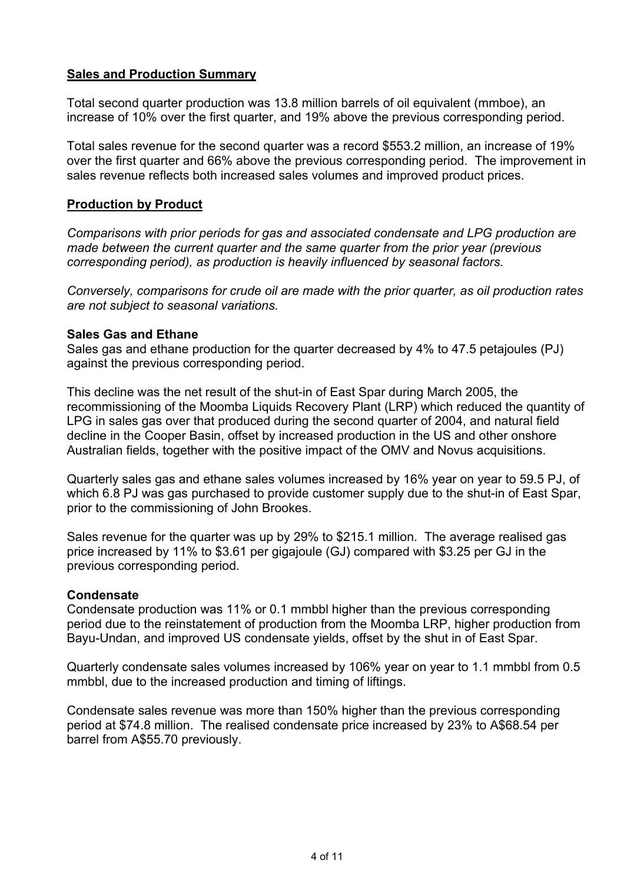## **Sales and Production Summary**

Total second quarter production was 13.8 million barrels of oil equivalent (mmboe), an increase of 10% over the first quarter, and 19% above the previous corresponding period.

Total sales revenue for the second quarter was a record \$553.2 million, an increase of 19% over the first quarter and 66% above the previous corresponding period. The improvement in sales revenue reflects both increased sales volumes and improved product prices.

### **Production by Product**

*Comparisons with prior periods for gas and associated condensate and LPG production are made between the current quarter and the same quarter from the prior year (previous corresponding period), as production is heavily influenced by seasonal factors.* 

*Conversely, comparisons for crude oil are made with the prior quarter, as oil production rates are not subject to seasonal variations.* 

#### **Sales Gas and Ethane**

Sales gas and ethane production for the quarter decreased by 4% to 47.5 petajoules (PJ) against the previous corresponding period.

This decline was the net result of the shut-in of East Spar during March 2005, the recommissioning of the Moomba Liquids Recovery Plant (LRP) which reduced the quantity of LPG in sales gas over that produced during the second quarter of 2004, and natural field decline in the Cooper Basin, offset by increased production in the US and other onshore Australian fields, together with the positive impact of the OMV and Novus acquisitions.

Quarterly sales gas and ethane sales volumes increased by 16% year on year to 59.5 PJ, of which 6.8 PJ was gas purchased to provide customer supply due to the shut-in of East Spar. prior to the commissioning of John Brookes.

Sales revenue for the quarter was up by 29% to \$215.1 million. The average realised gas price increased by 11% to \$3.61 per gigajoule (GJ) compared with \$3.25 per GJ in the previous corresponding period.

#### **Condensate**

Condensate production was 11% or 0.1 mmbbl higher than the previous corresponding period due to the reinstatement of production from the Moomba LRP, higher production from Bayu-Undan, and improved US condensate yields, offset by the shut in of East Spar.

Quarterly condensate sales volumes increased by 106% year on year to 1.1 mmbbl from 0.5 mmbbl, due to the increased production and timing of liftings.

Condensate sales revenue was more than 150% higher than the previous corresponding period at \$74.8 million. The realised condensate price increased by 23% to A\$68.54 per barrel from A\$55.70 previously.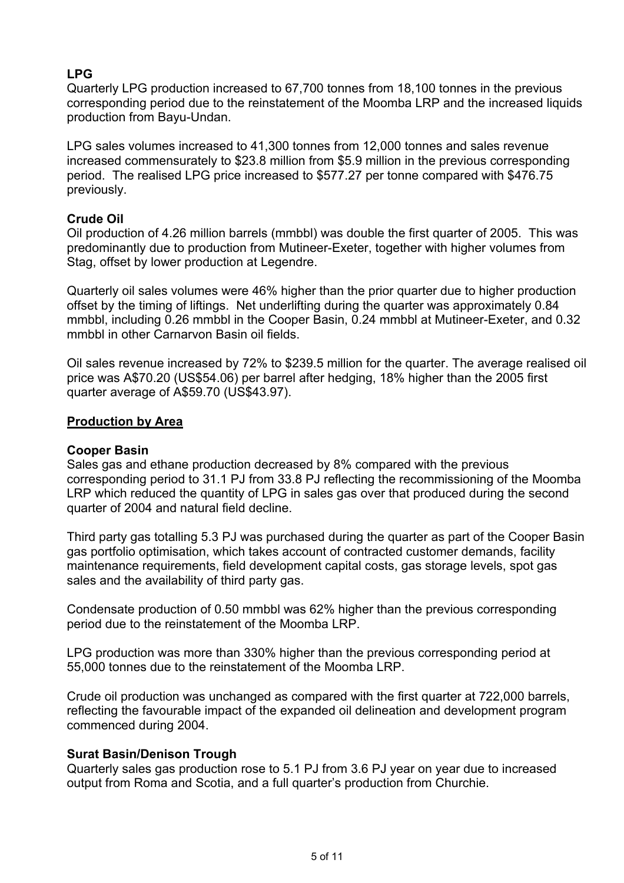# **LPG**

Quarterly LPG production increased to 67,700 tonnes from 18,100 tonnes in the previous corresponding period due to the reinstatement of the Moomba LRP and the increased liquids production from Bayu-Undan.

LPG sales volumes increased to 41,300 tonnes from 12,000 tonnes and sales revenue increased commensurately to \$23.8 million from \$5.9 million in the previous corresponding period. The realised LPG price increased to \$577.27 per tonne compared with \$476.75 previously.

## **Crude Oil**

Oil production of 4.26 million barrels (mmbbl) was double the first quarter of 2005. This was predominantly due to production from Mutineer-Exeter, together with higher volumes from Stag, offset by lower production at Legendre.

Quarterly oil sales volumes were 46% higher than the prior quarter due to higher production offset by the timing of liftings. Net underlifting during the quarter was approximately 0.84 mmbbl, including 0.26 mmbbl in the Cooper Basin, 0.24 mmbbl at Mutineer-Exeter, and 0.32 mmbbl in other Carnarvon Basin oil fields.

Oil sales revenue increased by 72% to \$239.5 million for the quarter. The average realised oil price was A\$70.20 (US\$54.06) per barrel after hedging, 18% higher than the 2005 first quarter average of A\$59.70 (US\$43.97).

## **Production by Area**

## **Cooper Basin**

Sales gas and ethane production decreased by 8% compared with the previous corresponding period to 31.1 PJ from 33.8 PJ reflecting the recommissioning of the Moomba LRP which reduced the quantity of LPG in sales gas over that produced during the second quarter of 2004 and natural field decline.

Third party gas totalling 5.3 PJ was purchased during the quarter as part of the Cooper Basin gas portfolio optimisation, which takes account of contracted customer demands, facility maintenance requirements, field development capital costs, gas storage levels, spot gas sales and the availability of third party gas.

Condensate production of 0.50 mmbbl was 62% higher than the previous corresponding period due to the reinstatement of the Moomba LRP.

LPG production was more than 330% higher than the previous corresponding period at 55,000 tonnes due to the reinstatement of the Moomba LRP.

Crude oil production was unchanged as compared with the first quarter at 722,000 barrels, reflecting the favourable impact of the expanded oil delineation and development program commenced during 2004.

## **Surat Basin/Denison Trough**

Quarterly sales gas production rose to 5.1 PJ from 3.6 PJ year on year due to increased output from Roma and Scotia, and a full quarter's production from Churchie.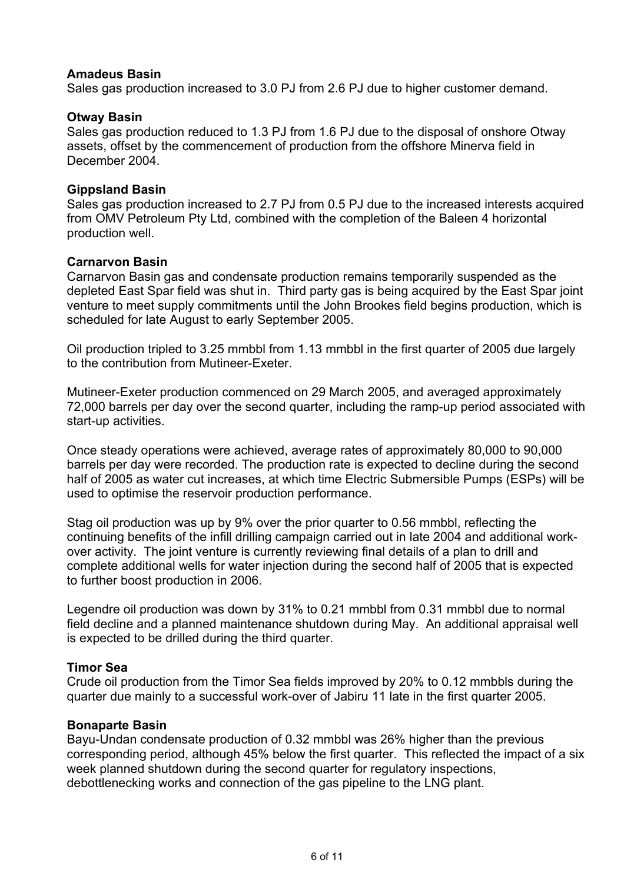## **Amadeus Basin**

Sales gas production increased to 3.0 PJ from 2.6 PJ due to higher customer demand.

#### **Otway Basin**

Sales gas production reduced to 1.3 PJ from 1.6 PJ due to the disposal of onshore Otway assets, offset by the commencement of production from the offshore Minerva field in December 2004.

#### **Gippsland Basin**

Sales gas production increased to 2.7 PJ from 0.5 PJ due to the increased interests acquired from OMV Petroleum Pty Ltd, combined with the completion of the Baleen 4 horizontal production well.

#### **Carnarvon Basin**

Carnarvon Basin gas and condensate production remains temporarily suspended as the depleted East Spar field was shut in. Third party gas is being acquired by the East Spar joint venture to meet supply commitments until the John Brookes field begins production, which is scheduled for late August to early September 2005.

Oil production tripled to 3.25 mmbbl from 1.13 mmbbl in the first quarter of 2005 due largely to the contribution from Mutineer-Exeter.

Mutineer-Exeter production commenced on 29 March 2005, and averaged approximately 72,000 barrels per day over the second quarter, including the ramp-up period associated with start-up activities.

Once steady operations were achieved, average rates of approximately 80,000 to 90,000 barrels per day were recorded. The production rate is expected to decline during the second half of 2005 as water cut increases, at which time Electric Submersible Pumps (ESPs) will be used to optimise the reservoir production performance.

Stag oil production was up by 9% over the prior quarter to 0.56 mmbbl, reflecting the continuing benefits of the infill drilling campaign carried out in late 2004 and additional workover activity. The joint venture is currently reviewing final details of a plan to drill and complete additional wells for water injection during the second half of 2005 that is expected to further boost production in 2006.

Legendre oil production was down by 31% to 0.21 mmbbl from 0.31 mmbbl due to normal field decline and a planned maintenance shutdown during May. An additional appraisal well is expected to be drilled during the third quarter.

#### **Timor Sea**

Crude oil production from the Timor Sea fields improved by 20% to 0.12 mmbbls during the quarter due mainly to a successful work-over of Jabiru 11 late in the first quarter 2005.

#### **Bonaparte Basin**

Bayu-Undan condensate production of 0.32 mmbbl was 26% higher than the previous corresponding period, although 45% below the first quarter. This reflected the impact of a six week planned shutdown during the second quarter for regulatory inspections, debottlenecking works and connection of the gas pipeline to the LNG plant.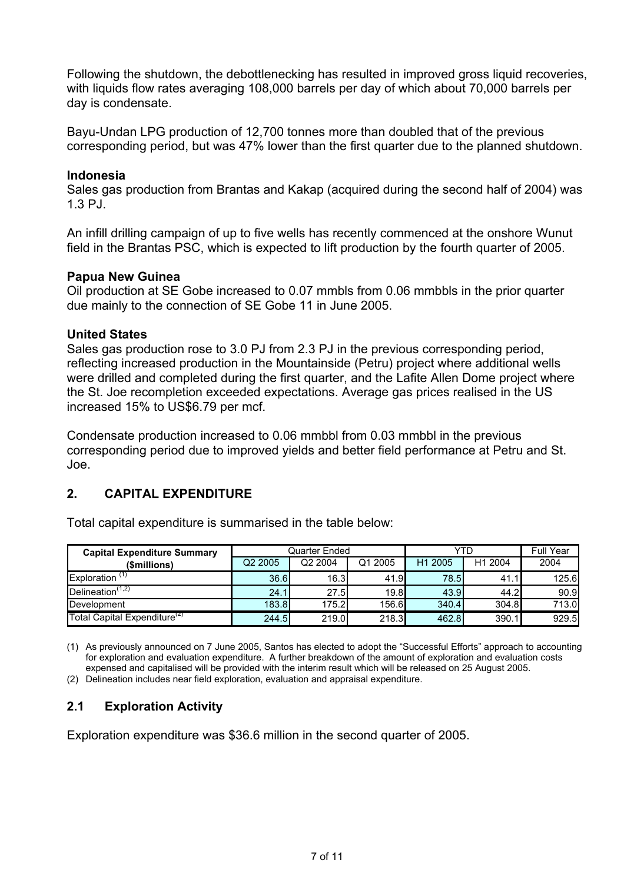Following the shutdown, the debottlenecking has resulted in improved gross liquid recoveries, with liquids flow rates averaging 108,000 barrels per day of which about 70,000 barrels per day is condensate.

Bayu-Undan LPG production of 12,700 tonnes more than doubled that of the previous corresponding period, but was 47% lower than the first quarter due to the planned shutdown.

### **Indonesia**

Sales gas production from Brantas and Kakap (acquired during the second half of 2004) was 1.3 PJ.

An infill drilling campaign of up to five wells has recently commenced at the onshore Wunut field in the Brantas PSC, which is expected to lift production by the fourth quarter of 2005.

#### **Papua New Guinea**

Oil production at SE Gobe increased to 0.07 mmbls from 0.06 mmbbls in the prior quarter due mainly to the connection of SE Gobe 11 in June 2005.

#### **United States**

Sales gas production rose to 3.0 PJ from 2.3 PJ in the previous corresponding period, reflecting increased production in the Mountainside (Petru) project where additional wells were drilled and completed during the first quarter, and the Lafite Allen Dome project where the St. Joe recompletion exceeded expectations. Average gas prices realised in the US increased 15% to US\$6.79 per mcf.

Condensate production increased to 0.06 mmbbl from 0.03 mmbbl in the previous corresponding period due to improved yields and better field performance at Petru and St. Joe.

## **2. CAPITAL EXPENDITURE**

Total capital expenditure is summarised in the table below:

| <b>Capital Expenditure Summary</b>        |                     | Quarter Ended |         | YTD                 | <b>Full Year</b> |       |
|-------------------------------------------|---------------------|---------------|---------|---------------------|------------------|-------|
| (\$millions)                              | Q <sub>2</sub> 2005 | Q2 2004       | Q1 2005 | H <sub>1</sub> 2005 | H1 2004          | 2004  |
| Exploration $(1)$                         | 36.6                | 16.3          | 41.9    | 78.5                | 41.1             | 125.6 |
| Delineation <sup><math>(1,2)</math></sup> | 24.1                | 27.5          | 19.8    | 43.9                | 44.2             | 90.9  |
| Development                               | 183.8               | 175.2         | 156.6   | 340.4               | 304.8            | 713.0 |
| Total Capital Expenditure <sup>(2)</sup>  | 244.5               | 219.0         | 218.3   | 462.8               | 390.1            | 929.5 |

<sup>(1)</sup> As previously announced on 7 June 2005, Santos has elected to adopt the "Successful Efforts" approach to accounting for exploration and evaluation expenditure. A further breakdown of the amount of exploration and evaluation costs expensed and capitalised will be provided with the interim result which will be released on 25 August 2005.

(2) Delineation includes near field exploration, evaluation and appraisal expenditure.

# **2.1 Exploration Activity**

Exploration expenditure was \$36.6 million in the second quarter of 2005.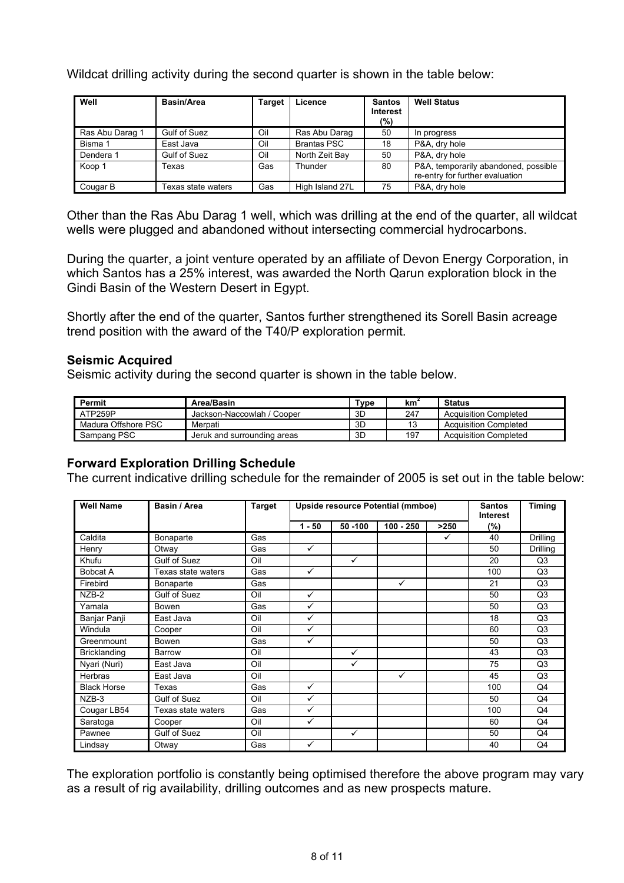Wildcat drilling activity during the second quarter is shown in the table below:

| Well            | Basin/Area         | Target | Licence            | <b>Santos</b><br><b>Interest</b><br>(%) | <b>Well Status</b>                                                      |
|-----------------|--------------------|--------|--------------------|-----------------------------------------|-------------------------------------------------------------------------|
| Ras Abu Darag 1 | Gulf of Suez       | Oil    | Ras Abu Darag      | 50                                      | In progress                                                             |
| Bisma 1         | East Java          | Oil    | <b>Brantas PSC</b> | 18                                      | P&A, dry hole                                                           |
| Dendera 1       | Gulf of Suez       | Oil    | North Zeit Bay     | 50                                      | P&A, dry hole                                                           |
| Koop 1          | Texas              | Gas    | Thunder            | 80                                      | P&A, temporarily abandoned, possible<br>re-entry for further evaluation |
| Cougar B        | Texas state waters | Gas    | High Island 27L    | 75                                      | P&A, dry hole                                                           |

Other than the Ras Abu Darag 1 well, which was drilling at the end of the quarter, all wildcat wells were plugged and abandoned without intersecting commercial hydrocarbons.

During the quarter, a joint venture operated by an affiliate of Devon Energy Corporation, in which Santos has a 25% interest, was awarded the North Qarun exploration block in the Gindi Basin of the Western Desert in Egypt.

Shortly after the end of the quarter, Santos further strengthened its Sorell Basin acreage trend position with the award of the T40/P exploration permit.

#### **Seismic Acquired**

Seismic activity during the second quarter is shown in the table below.

| <b>Permit</b>       | Area/Basin                  | Type | km' | <b>Status</b>                |
|---------------------|-----------------------------|------|-----|------------------------------|
| ATP259P             | Jackson-Naccowlah / Cooper  | 3D   | 247 | <b>Acquisition Completed</b> |
| Madura Offshore PSC | Merpati                     | 3D   | 13  | <b>Acquisition Completed</b> |
| Sampang PSC         | Jeruk and surrounding areas | 3D   | 197 | <b>Acquisition Completed</b> |

## **Forward Exploration Drilling Schedule**

The current indicative drilling schedule for the remainder of 2005 is set out in the table below:

| <b>Well Name</b>    | Basin / Area        | <b>Target</b> | Upside resource Potential (mmboe) |              |              |      | <b>Santos</b><br><b>Interest</b> | <b>Timing</b>  |
|---------------------|---------------------|---------------|-----------------------------------|--------------|--------------|------|----------------------------------|----------------|
|                     |                     |               | $1 - 50$                          | 50 - 100     | $100 - 250$  | >250 | (%)                              |                |
| Caldita             | Bonaparte           | Gas           |                                   |              |              | ✓    | 40                               | Drilling       |
| Henry               | Otway               | Gas           | ✓                                 |              |              |      | 50                               | Drilling       |
| Khufu               | Gulf of Suez        | Oil           |                                   | ✓            |              |      | 20                               | Q <sub>3</sub> |
| <b>Bobcat A</b>     | Texas state waters  | Gas           | $\checkmark$                      |              |              |      | 100                              | Q3             |
| Firebird            | Bonaparte           | Gas           |                                   |              | $\checkmark$ |      | 21                               | Q <sub>3</sub> |
| NZB-2               | Gulf of Suez        | Oil           | ✓                                 |              |              |      | 50                               | Q <sub>3</sub> |
| Yamala              | <b>Bowen</b>        | Gas           | ✓                                 |              |              |      | 50                               | Q <sub>3</sub> |
| Banjar Panji        | East Java           | Oil           | ✓                                 |              |              |      | 18                               | Q <sub>3</sub> |
| Windula             | Cooper              | Oil           | ✓                                 |              |              |      | 60                               | Q3             |
| Greenmount          | Bowen               | Gas           | ✓                                 |              |              |      | 50                               | Q3             |
| <b>Bricklanding</b> | Barrow              | Oil           |                                   | ✓            |              |      | 43                               | Q <sub>3</sub> |
| Nyari (Nuri)        | East Java           | Oil           |                                   | ✓            |              |      | 75                               | Q <sub>3</sub> |
| Herbras             | East Java           | Oil           |                                   |              | $\checkmark$ |      | 45                               | Q3             |
| <b>Black Horse</b>  | Texas               | Gas           | ✓                                 |              |              |      | 100                              | Q4             |
| NZB-3               | <b>Gulf of Suez</b> | Oil           | ✓                                 |              |              |      | 50                               | Q4             |
| Cougar LB54         | Texas state waters  | Gas           | ✓                                 |              |              |      | 100                              | Q4             |
| Saratoga            | Cooper              | Oil           | ✓                                 |              |              |      | 60                               | Q4             |
| Pawnee              | Gulf of Suez        | Oil           |                                   | $\checkmark$ |              |      | 50                               | Q4             |
| Lindsay             | Otway               | Gas           | ✓                                 |              |              |      | 40                               | Q4             |

The exploration portfolio is constantly being optimised therefore the above program may vary as a result of rig availability, drilling outcomes and as new prospects mature.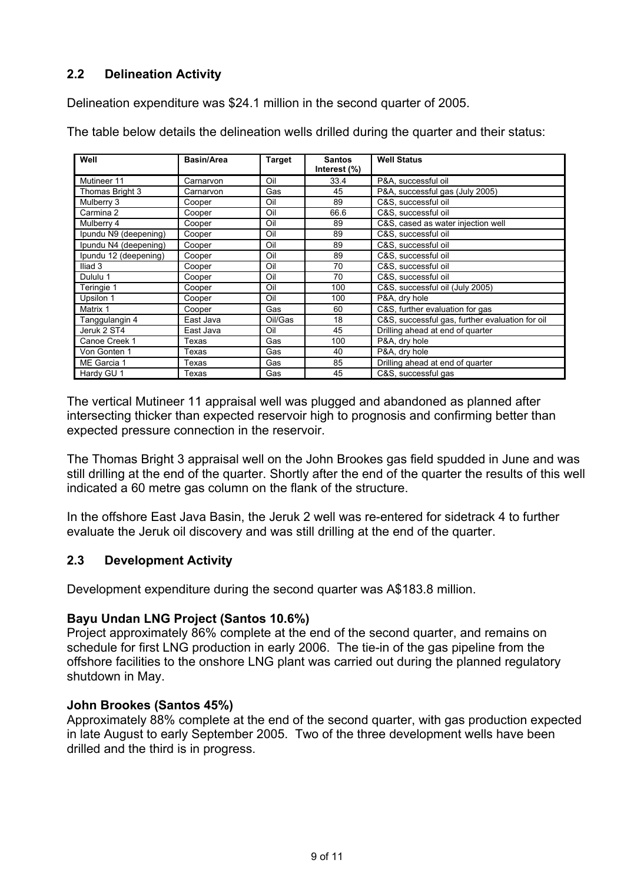# **2.2 Delineation Activity**

Delineation expenditure was \$24.1 million in the second quarter of 2005.

The table below details the delineation wells drilled during the quarter and their status:

| Well                  | <b>Basin/Area</b> | Target  | <b>Santos</b><br>Interest (%) | <b>Well Status</b>                              |
|-----------------------|-------------------|---------|-------------------------------|-------------------------------------------------|
| Mutineer 11           | Carnarvon         | Oil     | 33.4                          | P&A, successful oil                             |
| Thomas Bright 3       | Carnarvon         | Gas     | 45                            | P&A, successful gas (July 2005)                 |
| Mulberry 3            | Cooper            | Oil     | 89                            | C&S. successful oil                             |
| Carmina 2             | Cooper            | Oil     | 66.6                          | C&S, successful oil                             |
| Mulberry 4            | Cooper            | Oil     | 89                            | C&S, cased as water injection well              |
| Ipundu N9 (deepening) | Cooper            | Oil     | 89                            | C&S, successful oil                             |
| Ipundu N4 (deepening) | Cooper            | Oil     | 89                            | C&S. successful oil                             |
| Ipundu 12 (deepening) | Cooper            | Oil     | 89                            | C&S, successful oil                             |
| Iliad <sub>3</sub>    | Cooper            | Oil     | 70                            | C&S, successful oil                             |
| Dululu 1              | Cooper            | Oil     | 70                            | C&S, successful oil                             |
| Teringie 1            | Cooper            | Oil     | 100                           | C&S, successful oil (July 2005)                 |
| Upsilon 1             | Cooper            | Oil     | 100                           | P&A, drv hole                                   |
| Matrix 1              | Cooper            | Gas     | 60                            | C&S, further evaluation for gas                 |
| Tanggulangin 4        | East Java         | Oil/Gas | 18                            | C&S, successful gas, further evaluation for oil |
| Jeruk 2 ST4           | East Java         | Oil     | 45                            | Drilling ahead at end of quarter                |
| Canoe Creek 1         | Texas             | Gas     | 100                           | P&A, dry hole                                   |
| Von Gonten 1          | Texas             | Gas     | 40                            | P&A, dry hole                                   |
| ME Garcia 1           | Texas             | Gas     | 85                            | Drilling ahead at end of quarter                |
| Hardy GU 1            | Texas             | Gas     | 45                            | C&S, successful gas                             |

The vertical Mutineer 11 appraisal well was plugged and abandoned as planned after intersecting thicker than expected reservoir high to prognosis and confirming better than expected pressure connection in the reservoir.

The Thomas Bright 3 appraisal well on the John Brookes gas field spudded in June and was still drilling at the end of the quarter. Shortly after the end of the quarter the results of this well indicated a 60 metre gas column on the flank of the structure.

In the offshore East Java Basin, the Jeruk 2 well was re-entered for sidetrack 4 to further evaluate the Jeruk oil discovery and was still drilling at the end of the quarter.

# **2.3 Development Activity**

Development expenditure during the second quarter was A\$183.8 million.

## **Bayu Undan LNG Project (Santos 10.6%)**

Project approximately 86% complete at the end of the second quarter, and remains on schedule for first LNG production in early 2006. The tie-in of the gas pipeline from the offshore facilities to the onshore LNG plant was carried out during the planned regulatory shutdown in May.

## **John Brookes (Santos 45%)**

Approximately 88% complete at the end of the second quarter, with gas production expected in late August to early September 2005. Two of the three development wells have been drilled and the third is in progress.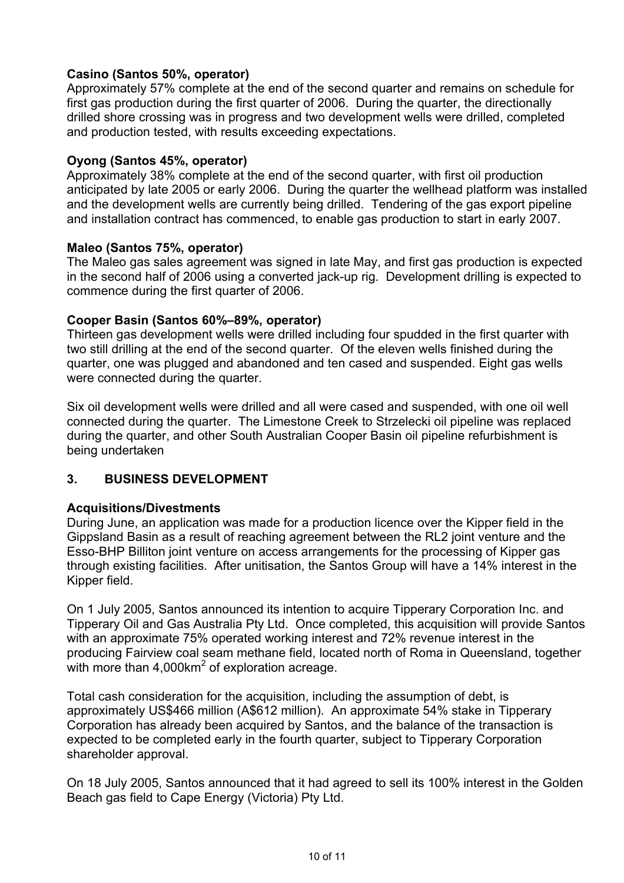# **Casino (Santos 50%, operator)**

Approximately 57% complete at the end of the second quarter and remains on schedule for first gas production during the first quarter of 2006. During the quarter, the directionally drilled shore crossing was in progress and two development wells were drilled, completed and production tested, with results exceeding expectations.

# **Oyong (Santos 45%, operator)**

Approximately 38% complete at the end of the second quarter, with first oil production anticipated by late 2005 or early 2006. During the quarter the wellhead platform was installed and the development wells are currently being drilled. Tendering of the gas export pipeline and installation contract has commenced, to enable gas production to start in early 2007.

## **Maleo (Santos 75%, operator)**

The Maleo gas sales agreement was signed in late May, and first gas production is expected in the second half of 2006 using a converted jack-up rig. Development drilling is expected to commence during the first quarter of 2006.

## **Cooper Basin (Santos 60%–89%, operator)**

Thirteen gas development wells were drilled including four spudded in the first quarter with two still drilling at the end of the second quarter. Of the eleven wells finished during the quarter, one was plugged and abandoned and ten cased and suspended. Eight gas wells were connected during the quarter.

Six oil development wells were drilled and all were cased and suspended, with one oil well connected during the quarter. The Limestone Creek to Strzelecki oil pipeline was replaced during the quarter, and other South Australian Cooper Basin oil pipeline refurbishment is being undertaken

## **3. BUSINESS DEVELOPMENT**

## **Acquisitions/Divestments**

During June, an application was made for a production licence over the Kipper field in the Gippsland Basin as a result of reaching agreement between the RL2 joint venture and the Esso-BHP Billiton joint venture on access arrangements for the processing of Kipper gas through existing facilities. After unitisation, the Santos Group will have a 14% interest in the Kipper field.

On 1 July 2005, Santos announced its intention to acquire Tipperary Corporation Inc. and Tipperary Oil and Gas Australia Pty Ltd. Once completed, this acquisition will provide Santos with an approximate 75% operated working interest and 72% revenue interest in the producing Fairview coal seam methane field, located north of Roma in Queensland, together with more than 4,000km<sup>2</sup> of exploration acreage.

Total cash consideration for the acquisition, including the assumption of debt, is approximately US\$466 million (A\$612 million). An approximate 54% stake in Tipperary Corporation has already been acquired by Santos, and the balance of the transaction is expected to be completed early in the fourth quarter, subject to Tipperary Corporation shareholder approval.

On 18 July 2005, Santos announced that it had agreed to sell its 100% interest in the Golden Beach gas field to Cape Energy (Victoria) Pty Ltd.